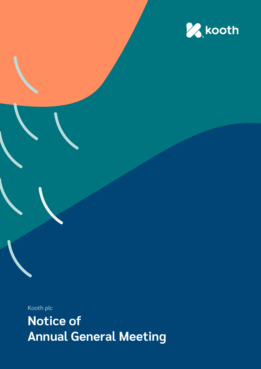

Kooth plc

**Notice of Annual General Meeting**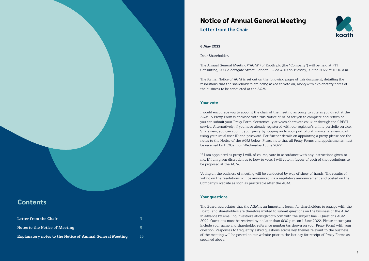# **Notice of Annual General Meeting Letter from the Chair**

#### **6 May 2022**

Dear Shareholder,

The Annual General Meeting ("AGM") of Kooth plc (the "Company") will be held at FTI Consulting, 200 Aldersgate Street, London, EC2A 4HD on Tuesday, 7 June 2022 at 11:00 a.m.

The formal Notice of AGM is set out on the following pages of this document, detailing the resolutions that the shareholders are being asked to vote on, along with explanatory notes of the business to be conducted at the AGM.

### **Your vote**

I would encourage you to appoint the chair of the meeting as proxy to vote as you direct at the AGM. A Proxy Form is enclosed with this Notice of AGM for you to complete and return or you can submit your Proxy Form electronically at www.sharevote.co.uk or through the CREST service. Alternatively, if you have already registered with our registrar's online portfolio service, Shareview, you can submit your proxy by logging on to your portfolio at www.shareview.co.uk using your usual user ID and password. For further details on appointing a proxy please see the notes to the Notice of the AGM below. Please note that all Proxy Forms and appointments must be received by 11.00am on Wednesday 1 June 2022.

If I am appointed as proxy I will, of course, vote in accordance with any instructions given to me. If I am given discretion as to how to vote, I will vote in favour of each of the resolutions to be proposed at the AGM.

Voting on the business of meeting will be conducted by way of show of hands. The results of voting on the resolutions will be announced via a regulatory announcement and posted on the Company's website as soon as practicable after the AGM.

### **Your questions**

The Board appreciates that the AGM is an important forum for shareholders to engage with the Board, and shareholders are therefore invited to submit questions on the business of the AGM in advance by emailing investorrelations@kooth.com with the subject line – Questions AGM 2022. Questions must be received by no later than 6:30 p.m. on 1 June 2022. Please ensure you include your name and shareholder reference number (as shown on your Proxy Form) with your question. Responses to frequently asked questions across key themes relevant to the business of the meeting will be posted on our website prior to the last day for receipt of Proxy Forms as specified above.



| <b>Letter from the Chair</b>                                     |    |
|------------------------------------------------------------------|----|
| <b>Notes to the Notice of Meeting</b>                            |    |
| <b>Explanatory notes to the Notice of Annual General Meeting</b> | 16 |

# **Contents**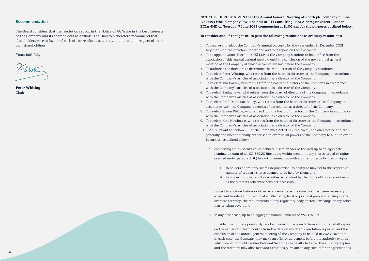#### **Recommendation**

The Board considers that the resolution set out in the Notice of AGM are in the best interests of the Company and its shareholders as a whole. The Directors therefore recommend that shareholders vote in favour of each of the resolutions, as they intend to do in respect of their own shareholdings.

Yours faithfully,

Fletation

**Peter Whiting** Chair

#### **NOTICE IS HEREBY GIVEN that the Annual General Meeting of Kooth plc (company number 12526594 (the "Company") will be held at FTI Consulting, 200 Aldersgate Street, London, EC2A 4HD on Tuesday, 7 June 2022 commencing at 11:00 a.m for the purposes outlined below.**

#### **To consider and, if thought fit, to pass the following resolutions as ordinary resolutions:**

- 1. To receive and adopt the Company's annual accounts for the year ended 31 December 2021 together with the directors' report and auditor's report on those accounts.
- 2. To re-appoint Grant Thornton (UK) LLP as the Company's auditor to hold office from the conclusion of this annual general meeting until the conclusion of the next annual general meeting of the Company at which accounts are laid before the Company.
- 3. To authorise the directors to determine the remuneration of the Company's auditors.
- 4. To re-elect Peter Whiting, who retires from the board of directors of the Company in accordance with the Company's articles of association, as a director of the Company.
- 5. To re-elect Tim Barker, who retires from the board of directors of the Company in accordance with the Company's articles of association, as a director of the Company.
- 6. To re-elect Sanjay Jawa, who retires from the board of directors of the Company in accordance with the Company's articles of association, as a director of the Company.
- 7. To re-elect Prof. Dame Sue Bailey, who retires from the board of directors of the Company in accordance with the Company's articles of association, as a director of the Company.
- 8. To re-elect Simon Philips, who retires from the board of directors of the Company in accordance with the Company's articles of association, as a director of the Company.
- 9. To re-elect Kate Newhouse, who retires from the board of directors of the Company in accordance with the Company's articles of association, as a director of the Company.
- 10. That, pursuant to section 551 of the Companies Act 2006 (the "Act"), the directors be and are generally and unconditionally authorised to exercise all powers of the Company to allot Relevant Securities (as defined below):
	- a. comprising equity securities (as defined in section 560 of the Act) up to an aggregate
		- i. to holders of ordinary shares in proportion (as nearly as may be) to the respective number of ordinary shares deemed to be held by them; and
		- ii. to holders of other equity securities as required by the rights of those securities or as the directors otherwise consider necessary,

nominal amount of £1,101,859.20 (including within such limit any shares issued or rights granted under paragraph (b) below) in connection with an offer or issue by way of rights:

subject to such exclusions or other arrangements as the directors may deem necessary or expedient in relation to fractional entitlements, legal or practical problems arising in any overseas territory, the requirements of any regulatory body or stock exchange or any other matter whatsoever; and

b. in any other case, up to an aggregate nominal amount of £550,929.60,

provided that (unless previously revoked, varied or renewed) these authorities shall expire on the earlier of fifteen months from the date on which this resolution is passed and the conclusion of the annual general meeting of the Company to be held in 2023, save that, in each case, the Company may make an offer or agreement before the authority expires which would or might require Relevant Securities to be allotted after the authority expires and the directors may allot Relevant Securities pursuant to any such offer or agreement as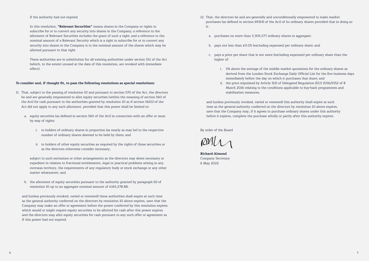if the authority had not expired.

In this resolution, **"Relevant Securities"** means shares in the Company or rights to subscribe for or to convert any security into shares in the Company; a reference to the allotment of Relevant Securities includes the grant of such a right; and a reference to the nominal amount of a Relevant Security which is a right to subscribe for or to convert any security into shares in the Company is to the nominal amount of the shares which may be allotted pursuant to that right.

These authorities are in substitution for all existing authorities under section 551 of the Act (which, to the extent unused at the date of this resolution, are revoked with immediate effect).

#### **To consider and, if thought fit, to pass the following resolutions as special resolutions:**

- 11. That, subject to the passing of resolution 10 and pursuant to section 570 of the Act, the directors be and are generally empowered to allot equity securities (within the meaning of section 560 of the Act) for cash pursuant to the authorities granted by resolution 10 as if section 561(1) of the Act did not apply to any such allotment, provided that this power shall be limited to:
	- a. equity securities (as defined in section 560 of the Act) in connection with an offer or issue by way of rights:
		- i. to holders of ordinary shares in proportion (as nearly as may be) to the respective number of ordinary shares deemed to be held by them; and
		- ii. to holders of other equity securities as required by the rights of those securities or as the directors otherwise consider necessary,

subject to such exclusions or other arrangements as the directors may deem necessary or expedient in relation to fractional entitlements, legal or practical problems arising in any overseas territory, the requirements of any regulatory body or stock exchange or any other matter whatsoever; and

b. the allotment of equity securities pursuant to the authority granted by paragraph (b) of resolution 10 up to an aggregate nominal amount of £165,278.88;

and (unless previously revoked, varied or renewed) these authorities shall expire at such time as the general authority conferred on the directors by resolution 10 above expires, save that the Company may make an offer or agreement before the power conferred by this resolution expires which would or might require equity securities to be allotted for cash after this power expires and the directors may allot equity securities for cash pursuant to any such offer or agreement as if this power had not expired.

purchases (as defined in section 693(4) of the Act) of its ordinary shares provided that in doing so

- 12. That, the directors be and are generally and unconditionally empowered to make market it:
	- a. purchases no more than 3,305,577 ordinary shares in aggregate;
	- b. pays not less than £0.05 (excluding expenses) per ordinary share; and
	- c. pays a price per share that is not more (excluding expenses) per ordinary share than the higher of:
		- immediately before the day on which it purchases that share; and
		- stabilisation measures,

i. 5% above the average of the middle market quotations for the ordinary shares as derived from the London Stock Exchange Daily Official List for the five business days ii. the price stipulated by Article 3(2) of Delegated Regulation (EU) 2016/1052 of 8 March 2016 relating to the conditions applicable to buy-back programmes and

and (unless previously revoked, varied or renewed) this authority shall expire at such time as the general authority conferred on the directors by resolution 10 above expires, save that the Company may, if it agrees to purchase ordinary shares under this authority before it expires, complete the purchase wholly or partly after this authority expires.

By order of the Board

 $RM1 \wedge$ 

**Richard Almond** Company Secretary 6 May 2022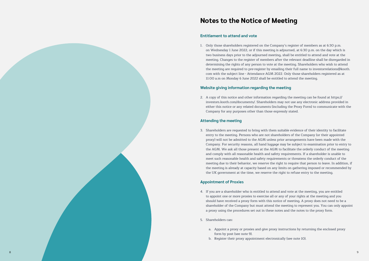# **Notes to the Notice of Meeting**

# **Entitlement to attend and vote**

1. Only those shareholders registered on the Company's register of members as at 6:30 p.m. on Wednesday 1 June 2022, or if this meeting is adjourned, at 6:30 p.m. on the day which is two business days prior to the adjourned meeting, shall be entitled to attend and vote at the meeting. Changes to the register of members after the relevant deadline shall be disregarded in determining the rights of any person to vote at the meeting. Shareholders who wish to attend the meeting are required to pre-register by emailing their full name to investorrelations@kooth. com with the subject line - Attendance AGM 2022. Only those shareholders registered as at 11:00 a.m on Monday 6 June 2022 shall be entitled to attend the meeting.

# **Website giving information regarding the meeting**

2. A copy of this notice and other information regarding the meeting can be found at https:// investors.kooth.com/documents/. Shareholders may not use any electronic address provided in either this notice or any related documents (including the Proxy Form) to communicate with the Company for any purposes other than those expressly stated.

# **Attending the meeting**

3. Shareholders are requested to bring with them suitable evidence of their identity to facilitate entry to the meeting. Persons who are not shareholders of the Company (or their appointed proxy) will not be admitted to the AGM unless prior arrangements have been made with the Company. For security reasons, all hand luggage may be subject to examination prior to entry to the AGM. We ask all those present at the AGM to facilitate the orderly conduct of the meeting and comply with all reasonable health and safety requirements. If a shareholder is unable to meet such reasonable health and safety requirements or threatens the orderly conduct of the meeting due to their behavior, we reserve the right to require that person to leave. In addition, if the meeting is already at capacity based on any limits on gathering imposed or recommended by the UK government at the time, we reserve the right to refuse entry to the meeting.

# **Appointment of Proxies**

shareholder of the Company but must attend the meeting to represent you. You can only appoint

- 4. If you are a shareholder who is entitled to attend and vote at the meeting, you are entitled to appoint one or more proxies to exercise all or any of your rights at the meeting and you should have received a proxy form with this notice of meeting. A proxy does not need to be a a proxy using the procedures set out in these notes and the notes to the proxy form.
- 5. Shareholders can:
	- a. Appoint a proxy or proxies and give proxy instructions by returning the enclosed proxy form by post (see note 9).
	- b. Register their proxy appointment electronically (see note 10).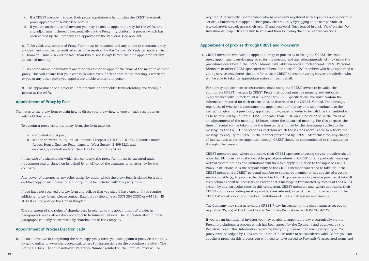- c. If a CREST member, register their proxy appointment by utilising the CREST electronic proxy appointment service (see note 11).
- d. If you are an institutional investor you may be able to appoint a proxy for the AGM, and any adjournment thereof, electronically via the Proxymity platform, a process which has been agreed by the Company and approved by the Registrar. (see note 12)

6. To be valid, any completed Proxy Form must be returned, and any online or electronic proxy appointment must be transmitted so as to be received by the Company's Registrar no later than 11.00am on 1 June 2022 (or no later than two business days before the time appointed for any adjourned meeting).

7. As noted above, shareholders are strongly advised to appoint the chair of the meeting as their proxy. This will ensure that your vote is counted even if attendance at the meeting is restricted or you or any other proxy you appoint are unable to attend in person.

8. The appointment of a proxy will not preclude a shareholder from attending and voting in person at the AGM.

#### **Appointment of Proxy by Post**

The notes to the proxy form explain how to direct your proxy how to vote on each resolution or withhold their vote.

To appoint a proxy using the proxy form, the form must be:

- a. completed and signed;
- b. sent or delivered to Equiniti at Equiniti, Freepost RTHJ-CLLL-KBKU, Equiniti Limited, Aspect House, Spencer Road, Lancing, West Sussex, BN99 8LU; and
- c. received by Equiniti no later than 11.00 am on 1 June 2022.

In the case of a shareholder which is a company, the proxy form must be executed under its common seal or signed on its behalf by an officer of the company or an attorney for the company.

Any power of attorney or any other authority under which the proxy form is signed (or a duly certified copy of such power or authority) must be included with the proxy form.

If you have not received a proxy form and believe that you should have one, or if you require additional proxy forms, please contact Equiniti by telephone on 0371 384 2030 or +44 121 415 7047 if calling outside the United Kingdom.

The statement of the rights of shareholders in relation to the appointment of proxies in paragraphs 6 and 7 above does not apply to Nominated Persons. The rights described in those paragraphs can only be exercised by shareholders of the Company.

### **Appointment of Proxies Electronically**

10. As an alternative to completing the hard-copy proxy form, you can appoint a proxy electronically by going online to www.sharevote.co.uk where full instructions on the procedure are given. The Voting ID, Task ID and Shareholder Reference Number printed on the Form of Proxy will be

required. Alternatively, Shareholders who have already registered with Equiniti's online portfolio service, Shareview, can appoint their proxy electronically by logging onto their portfolio at www.shareview.co.uk using their user ID and password. Once logged in click 'View' on the 'My Investments' page, click the link to vote and then following the on-screen instructions.

# **Appointment of proxies through CREST and Proxymity**

11. CREST members who wish to appoint a proxy or proxies by utilising the CREST electronic proxy appointment service may do so for the meeting and any adjournment(s) of it by using the procedures described in the CREST Manual (available via www.euroclear.com). CREST Personal Members or other CREST sponsored members, and those CREST members who have appointed a voting service provider(s), should refer to their CREST sponsor or voting service provider(s), who will be able to take the appropriate action on their behalf.

For a proxy appointment or instructions made using the CREST service to be valid, the appropriate CREST message (a CREST Proxy Instruction) must be properly authenticated in accordance with Euroclear UK & Ireland Ltd's (EUI) specifications and must contain the information required for such instructions, as described in the CREST Manual. The message, regardless of whether it constitutes the appointment of a proxy or is an amendment to the instruction given to a previously appointed proxy, must, in order to be valid, be transmitted so as to be received by Equiniti (ID RA19) no later than 11.00 on 1 June 2022 or, in the event of an adjournment of the meeting, 48 hours before the adjourned meeting. For this purpose, the time of receipt will be taken to be the time (as determined by the timestamp applied to the message by the CREST Applications Host) from which the issuer's agent is able to retrieve the message by enquiry to CREST in the manner prescribed by CREST. After this time, any change of instructions to proxies appointed through CREST should be communicated to the appointee through other means.

CREST members and, where applicable, their CREST sponsors or voting service providers should note that EUI does not make available special procedures in CREST for any particular message. Normal system timings and limitations will therefore apply in relation to the input of CREST Proxy Instructions. It is the responsibility of the CREST member concerned to take (or, if the CREST member is a CREST personal member or sponsored member or has appointed a voting service provider(s), to procure that his or her CREST sponsor or voting service provider(s) take(s)) such action as shall be necessary to ensure that a message is transmitted by means of the CREST system by any particular time. In this connection, CREST members and, where applicable, their CREST sponsors or voting service providers are referred, in particular, to those sections of the CREST Manual concerning practical limitations of the CREST system and timings.

The Company may treat as invalid a CREST Proxy Instruction in the circumstances set out in regulation 35(5)(a) of the Uncertificated Securities Regulations 2001 (SI 2001/3755).

If you are an institutional investor you may be able to appoint a proxy electronically via the Proxymity platform, a process which has been agreed by the Company and approved by the Registrar. For further information regarding Proxymity, please go to www.proxymity.io. Your proxy must be lodged by 11.00 am on 1 June 2022 in order to be considered valid. Before you can appoint a proxy via this process you will need to have agreed to Proxymity's associated terms and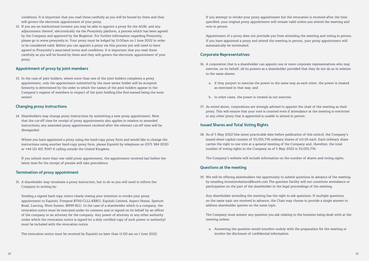conditions. It is important that you read these carefully as you will be bound by them and they will govern the electronic appointment of your proxy.

12. If you are an institutional investor you may be able to appoint a proxy for the AGM, and any adjournment thereof, electronically via the Proxymity platform, a process which has been agreed by the Company and approved by the Registrar. For further information regarding Proxymity, please go to www.proxymity.io. Your proxy must be lodged by 11:00am on 1 June 2022 in order to be considered valid. Before you can appoint a proxy via this process you will need to have agreed to Proxymity's associated terms and conditions. It is important that you read these carefully as you will be bound by them and they will govern the electronic appointment of your proxy.

#### **Appointment of proxy by joint members**

13. In the case of joint holders, where more than one of the joint holders completes a proxy appointment, only the appointment submitted by the most senior holder will be accepted. Seniority is determined by the order in which the names of the joint holders appear in the Company's register of members in respect of the joint holding (the first-named being the most senior).

#### **Changing proxy instructions**

14. Shareholders may change proxy instructions by submitting a new proxy appointment. Note that the cut-off time for receipt of proxy appointments also applies in relation to amended instructions; any amended proxy appointment received after the relevant cut-off time will be disregarded.

Where you have appointed a proxy using the hard-copy proxy form and would like to change the instructions using another hard-copy proxy form, please Equiniti by telephone on 0371 384 2030 or +44 121 415 7047 if calling outside the United Kingdom.

If you submit more than one valid proxy appointment, the appointment received last before the latest time for the receipt of proxies will take precedence.

### **Termination of proxy appointment**

15. A shareholder may terminate a proxy instruction, but to do so you will need to inform the Company in writing by:

Sending a signed hard copy notice clearly stating your intention to revoke your proxy appointment to Equiniti, Freepost RTHJ-CLLL-KBKU, Equiniti Limited, Aspect House, Spencer Road, Lancing, West Sussex, BN99 8LU. In the case of a shareholder which is a company, the revocation notice must be executed under its common seal or signed on its behalf by an officer of the company or an attorney for the company. Any power of attorney or any other authority under which the revocation notice is signed (or a duly certified copy of such power or authority) must be included with the revocation notice.

The revocation notice must be received by Equiniti no later than 11.00 am on 1 June 2022.

If you attempt to revoke your proxy appointment but the revocation is received after the time specified, your original proxy appointment will remain valid unless you attend the meeting and vote in person.

Appointment of a proxy does not preclude you from attending the meeting and voting in person. If you have appointed a proxy and attend the meeting in person, your proxy appointment will automatically be terminated.

### **Corporate Representatives**

a. if they purport to exercise the power in the same way as each other, the power is treated

- 16. A corporation that is a shareholder can appoint one or more corporate representatives who may exercise, on its behalf, all its powers as a shareholder provided that they do not do so in relation to the same shares:
	- as exercised in that way; and
	- b. in other cases, the power is treated as not exercise.
- 17. As noted above, corporations are strongly advised to appoint the chair of the meeting as their proxy. This will ensure that your vote is counted even if attendance at the meeting is restricted or any other proxy that is appointed is unable to attend in person.

## **Issued Shares and Total Voting Rights**

18. As of 5 May 2022 (the latest practicable date before publication of this notice), the Company's issued share capital consists of 33,055,776 ordinary shares of £0.05 each. Each ordinary share carries the right to one vote at a general meeting of the Company and, therefore, the total number of voting rights in the Company as of 5 May 2022 is 33,055,776.

The Company's website will include information on the number of shares and voting rights.

### **Questions at the meeting**

19. We will be offering shareholders the opportunity to submit questions in advance of the meeting by emailing investorrelations@kooth.com The question facility will not constitute attendance or participation on the part of the shareholder in the legal proceedings of the meeting.

Any shareholder attending the meeting has the right to ask questions. If multiple questions on the same topic are received in advance, the Chair may choose to provide a single answer to address shareholder queries on the same topic.

The Company must answer any question you ask relating to the business being dealt with at the meeting unless:

a. Answering the question would interfere unduly with the preparation for the meeting or involve the disclosure of confidential information.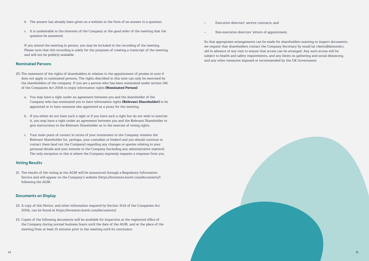- b. The answer has already been given on a website in the form of an answer to a question.
- c. It is undesirable in the interests of the Company or the good order of the meeting that the question be answered.

If you attend the meeting in person, you may be included in the recording of the meeting. Please note that this recording is solely for the purposes of creating a transcript of the meeting and will not be publicly available.

#### **Nominated Persons**

- 20. The statement of the rights of shareholders in relation to the appointment of proxies in note 4 does not apply to nominated persons. The rights described in this note can only be exercised by the shareholders of the company. If you are a person who has been nominated under section 146 of the Companies Act 2006 to enjoy information rights **(Nominated Person)**:
	- a. You may have a right under an agreement between you and the shareholder of the Company who has nominated you to have information rights **(Relevant Shareholder)** to be appointed or to have someone else appointed as a proxy for the meeting.
	- b. If you either do not have such a right or if you have such a right but do not wish to exercise it, you may have a right under an agreement between you and the Relevant Shareholder to give instructions to the Relevant Shareholder as to the exercise of voting rights.
	- c. Your main point of contact in terms of your investment in the Company remains the Relevant Shareholder (or, perhaps, your custodian or broker) and you should continue to contact them (and not the Company) regarding any changes or queries relating to your personal details and your interest in the Company (including any administrative matters). The only exception to this is where the Company expressly requests a response from you.

#### **Voting Results**

21. The results of the voting at the AGM will be announced through a Regulatory Information Service and will appear on the Company's website (https://investors.kooth.com/documents/) following the AGM.

#### **Documents on Display**

- 22. A copy of this Notice, and other information required by Section 311A of the Companies Act 2006, can be found at https://investors.kooth.com/documents/.
- 23. Copies of the following documents will be available for inspection at the registered office of the Company during normal business hours until the date of the AGM, and at the place of the meeting from at least 15 minutes prior to the meeting until its conclusion:
- Executive directors' service contracts; and
- Non-executive directors' letters of appointment.

So that appropriate arrangements can be made for shareholders wanting to inspect documents, we request that shareholders contact the Company Secretary by email (at clients@almondco. uk) in advance of any visit to ensure that access can be arranged. Any such access will be subject to health and safety requirements, and any limits on gathering and social distancing and any other measures imposed or recommended by the UK Government.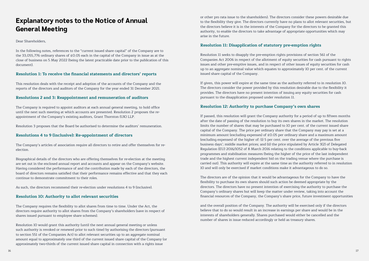# **Explanatory notes to the Notice of Annual General Meeting**

Dear Shareholders,

In the following notes, references to the "current issued share capital" of the Company are to the 33,055,776 ordinary shares of £0.05 each in the capital of the Company in issue as at the close of business on 5 May 2022 (being the latest practicable date prior to the publication of this document).

#### **Resolution 1: To receive the financial statements and directors' reports**

This resolution deals with the receipt and adoption of the accounts of the Company and the reports of the directors and auditors of the Company for the year ended 31 December 2021.

#### **Resolutions 2 and 3: Reappointment and remuneration of auditors**

The Company is required to appoint auditors at each annual general meeting, to hold office until the next such meeting at which accounts are presented. Resolution 2 proposes the reappointment of the Company's existing auditors, Grant Thornton (UK) LLP.

Resolution 3 proposes that the Board be authorised to determine the auditors' remuneration.

### **Resolutions 4 to 9 (inclusive): Re-appointment of directors**

The Company's articles of association require all directors to retire and offer themselves for reelection.

Biographical details of the directors who are offering themselves for re-election at the meeting are set out in the enclosed annual report and accounts and appear on the Company's website. Having considered the performance of and the contribution made by each of the directors, the board of directors remains satisfied that their performance remains effective and that they each continue to demonstrate commitment to their roles.

As such, the directors recommend their re-election under resolutions 4 to 9 (inclusive).

## **Resolution 10: Authority to allot relevant securities**

The Company requires the flexibility to allot shares from time to time. Under the Act, the directors require authority to allot shares from the Company's shareholders (save in respect of shares issued pursuant to employee share schemes).

Resolution 10 would grant this authority (until the next annual general meeting or unless such authority is revoked or renewed prior to such time) by authorising the directors (pursuant to section 551 of the Companies Act) to allot relevant securities up to an aggregate nominal amount equal to approximately one third of the current issued share capital of the Company (or approximately two-thirds of the current issued share capital in connection with a rights issue

or other pro rata issue to the shareholders). The directors consider these powers desirable due to the flexibility they give. The directors currently have no plans to allot relevant securities, but the directors believe it is in the interests of the Company for the directors to be granted this authority, to enable the directors to take advantage of appropriate opportunities which may arise in the future.

# **Resolution 11: Disapplication of statutory pre-emption rights**

Resolution 11 seeks to disapply the pre-emption rights provisions of section 561 of the Companies Act 2006 in respect of the allotment of equity securities for cash pursuant to rights issues and other pre-emptive issues, and in respect of other issues of equity securities for cash up to an aggregate nominal value which equates to approximately 10 per cent. of the current issued share capital of the Company.

If given, this power will expire at the same time as the authority referred to in resolution 10. The directors consider the power provided by this resolution desirable due to the flexibility it provides. The directors have no present intention of issuing any equity securities for cash pursuant to the disapplication proposed under resolution 11.

## **Resolution 12: Authority to purchase Company's own shares**

If passed, this resolution will grant the Company authority for a period of up to fifteen months after the date of passing of the resolution to buy its own shares in the market. The resolution limits the number of shares that may be purchased to 10 per cent. of the current issued share capital of the Company. The price per ordinary share that the Company may pay is set at a minimum amount (excluding expenses) of £0.05 per ordinary share and a maximum amount (excluding expenses) of the higher of: (i) 5 per cent. over the average of the previous five business days'; middle market prices; and (ii) the price stipulated by Article 3(2) of Delegated Regulation (EU) 2016/1052 of 8 March 2016 relating to the conditions applicable to buy-back programmes and stabilisation measures (being the higher of the price of the last independent trade and the highest current independent bid on the trading venue where the purchase is carried out). This authority will expire at the same time as the authority referred to in resolution 10 and will only be exercised if market conditions make it advantageous to do so.

The directors are of the opinion that it would be advantageous for the Company to have the flexibility to purchase its own shares should such action be deemed appropriate by the directors. The directors have no present intention of exercising the authority to purchase the Company's ordinary shares but will keep the matter under review, taking into account the financial resources of the Company, the Company's share price, future investment opportunities

and the overall position of the Company. The authority will be exercised only if the directors believe that to do so would result in an increase in earnings per share and would be in the interests of shareholders generally. Shares purchased would either be cancelled and the number of shares in issue reduced accordingly or held as treasury shares.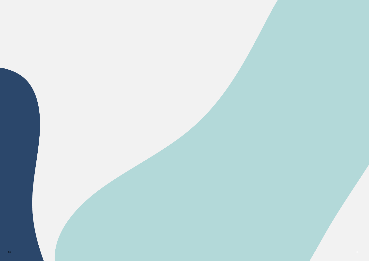